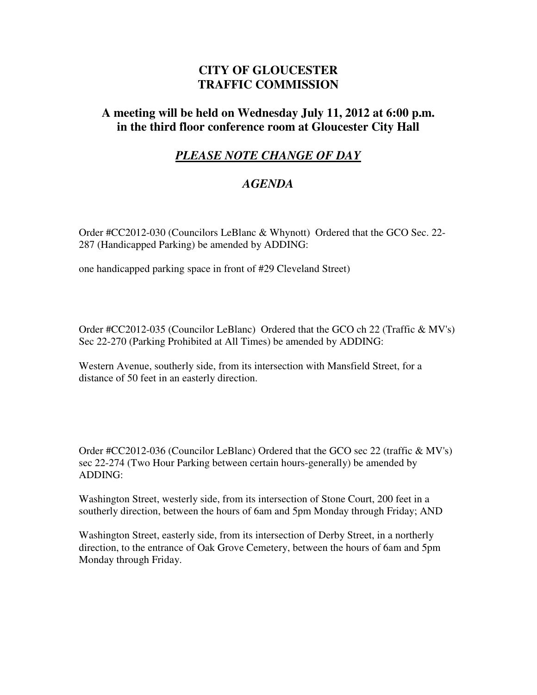## **CITY OF GLOUCESTER TRAFFIC COMMISSION**

## **A meeting will be held on Wednesday July 11, 2012 at 6:00 p.m. in the third floor conference room at Gloucester City Hall**

## *PLEASE NOTE CHANGE OF DAY*

## *AGENDA*

Order #CC2012-030 (Councilors LeBlanc & Whynott) Ordered that the GCO Sec. 22- 287 (Handicapped Parking) be amended by ADDING:

one handicapped parking space in front of #29 Cleveland Street)

Order #CC2012-035 (Councilor LeBlanc) Ordered that the GCO ch 22 (Traffic & MV's) Sec 22-270 (Parking Prohibited at All Times) be amended by ADDING:

Western Avenue, southerly side, from its intersection with Mansfield Street, for a distance of 50 feet in an easterly direction.

Order #CC2012-036 (Councilor LeBlanc) Ordered that the GCO sec 22 (traffic & MV's) sec 22-274 (Two Hour Parking between certain hours-generally) be amended by ADDING:

Washington Street, westerly side, from its intersection of Stone Court, 200 feet in a southerly direction, between the hours of 6am and 5pm Monday through Friday; AND

Washington Street, easterly side, from its intersection of Derby Street, in a northerly direction, to the entrance of Oak Grove Cemetery, between the hours of 6am and 5pm Monday through Friday.